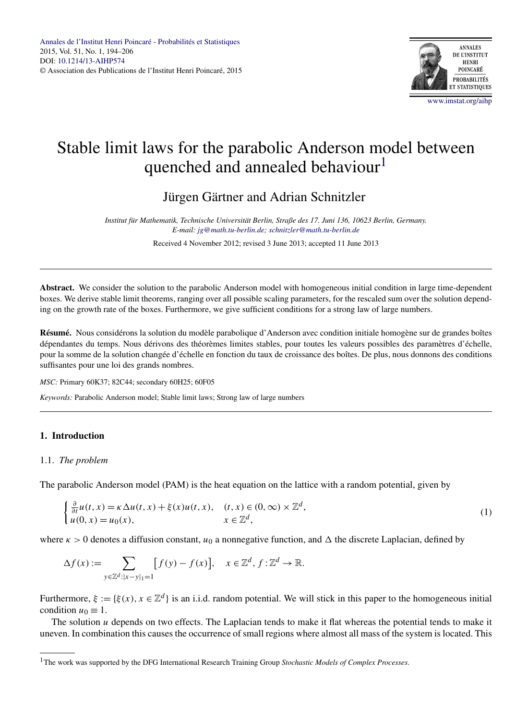

# Stable limit laws for the parabolic Anderson model between quenched and annealed behaviour<sup>1</sup>

# Jürgen Gärtner and Adrian Schnitzler

*Institut für Mathematik, Technische Universität Berlin, Straße des 17. Juni 136, 10623 Berlin, Germany. E-mail: [jg@math.tu-berlin.de;](mailto:jg@math.tu-berlin.de) [schnitzler@math.tu-berlin.de](mailto:schnitzler@math.tu-berlin.de)*

Received 4 November 2012; revised 3 June 2013; accepted 11 June 2013

**Abstract.** We consider the solution to the parabolic Anderson model with homogeneous initial condition in large time-dependent boxes. We derive stable limit theorems, ranging over all possible scaling parameters, for the rescaled sum over the solution depending on the growth rate of the boxes. Furthermore, we give sufficient conditions for a strong law of large numbers.

**Résumé.** Nous considérons la solution du modèle parabolique d'Anderson avec condition initiale homogène sur de grandes boîtes dépendantes du temps. Nous dérivons des théorèmes limites stables, pour toutes les valeurs possibles des paramètres d'échelle, pour la somme de la solution changée d'échelle en fonction du taux de croissance des boîtes. De plus, nous donnons des conditions suffisantes pour une loi des grands nombres.

*MSC:* Primary 60K37; 82C44; secondary 60H25; 60F05

*Keywords:* Parabolic Anderson model; Stable limit laws; Strong law of large numbers

# **1. Introduction**

# 1.1. *The problem*

The parabolic Anderson model (PAM) is the heat equation on the lattice with a random potential, given by

$$
\begin{cases} \frac{\partial}{\partial t} u(t, x) = \kappa \Delta u(t, x) + \xi(x) u(t, x), & (t, x) \in (0, \infty) \times \mathbb{Z}^d, \\ u(0, x) = u_0(x), & x \in \mathbb{Z}^d, \end{cases}
$$
(1)

where  $\kappa > 0$  denotes a diffusion constant,  $u_0$  a nonnegative function, and  $\Delta$  the discrete Laplacian, defined by

$$
\Delta f(x) := \sum_{y \in \mathbb{Z}^d : |x - y| = 1} [f(y) - f(x)], \quad x \in \mathbb{Z}^d, f: \mathbb{Z}^d \to \mathbb{R}.
$$

Furthermore,  $\xi := {\xi(x), x \in \mathbb{Z}^d}$  is an i.i.d. random potential. We will stick in this paper to the homogeneous initial condition  $u_0 \equiv 1$ .

The solution *u* depends on two effects. The Laplacian tends to make it flat whereas the potential tends to make it uneven. In combination this causes the occurrence of small regions where almost all mass of the system is located. This

<sup>1</sup>The work was supported by the DFG International Research Training Group *Stochastic Models of Complex Processes*.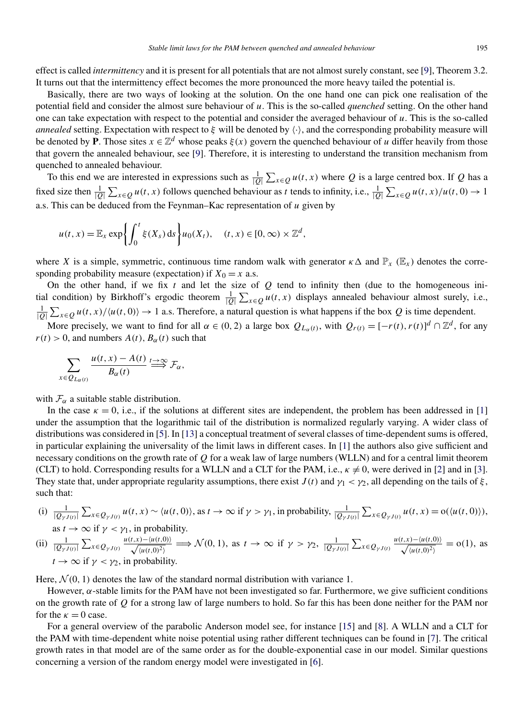effect is called *intermittency* and it is present for all potentials that are not almost surely constant, see [\[9\]](#page-11-0), Theorem 3.2. It turns out that the intermittency effect becomes the more pronounced the more heavy tailed the potential is.

Basically, there are two ways of looking at the solution. On the one hand one can pick one realisation of the potential field and consider the almost sure behaviour of *u*. This is the so-called *quenched* setting. On the other hand one can take expectation with respect to the potential and consider the averaged behaviour of *u*. This is the so-called *annealed* setting. Expectation with respect to  $\xi$  will be denoted by  $\langle \cdot \rangle$ , and the corresponding probability measure will be denoted by **P**. Those sites  $x \in \mathbb{Z}^d$  whose peaks  $\xi(x)$  govern the quenched behaviour of *u* differ heavily from those that govern the annealed behaviour, see [\[9\]](#page-11-0). Therefore, it is interesting to understand the transition mechanism from quenched to annealed behaviour.

To this end we are interested in expressions such as  $\frac{1}{|Q|}\sum_{x\in Q}u(t,x)$  where *Q* is a large centred box. If *Q* has a fixed size then  $\frac{1}{|Q|}\sum_{x\in Q}u(t,x)$  follows quenched behaviour as t tends to infinity, i.e.,  $\frac{1}{|Q|}\sum_{x\in Q}u(t,x)/u(t,0) \to 1$ a.s. This can be deduced from the Feynman–Kac representation of *u* given by

$$
u(t,x) = \mathbb{E}_x \exp\left\{ \int_0^t \xi(X_s) \, ds \right\} u_0(X_t), \quad (t,x) \in [0,\infty) \times \mathbb{Z}^d,
$$

where *X* is a simple, symmetric, continuous time random walk with generator  $\kappa \Delta$  and  $\mathbb{P}_x$  ( $\mathbb{E}_x$ ) denotes the corresponding probability measure (expectation) if  $X_0 = x$  a.s.

On the other hand, if we fix  $t$  and let the size of  $Q$  tend to infinity then (due to the homogeneous initial condition) by Birkhoff's ergodic theorem  $\frac{1}{|Q|} \sum_{x \in Q} u(t, x)$  displays annealed behaviour almost surely, i.e.,  $\frac{1}{|Q|}\sum_{x\in Q}u(t,x)/\langle u(t,0)\rangle \to 1$  a.s. Therefore, a natural question is what happens if the box *Q* is time dependent.

More precisely, we want to find for all  $\alpha \in (0, 2)$  a large box  $Q_{L_{\alpha}(t)}$ , with  $Q_{r(t)} = [-r(t), r(t)]^d \cap \mathbb{Z}^d$ , for any  $r(t) > 0$ , and numbers  $A(t)$ ,  $B_\alpha(t)$  such that

$$
\sum_{\in Q_{L_{\alpha}(t)}} \frac{u(t,x)-A(t)}{B_{\alpha}(t)} \stackrel{t \to \infty}{\Longrightarrow} \mathcal{F}_{\alpha},
$$

with  $\mathcal{F}_{\alpha}$  a suitable stable distribution.

*x*∈*QLα(t)*

In the case  $\kappa = 0$ , i.e., if the solutions at different sites are independent, the problem has been addressed in [\[1\]](#page-11-0) under the assumption that the logarithmic tail of the distribution is normalized regularly varying. A wider class of distributions was considered in [\[5\]](#page-11-0). In [\[13\]](#page-12-0) a conceptual treatment of several classes of time-dependent sums is offered, in particular explaining the universality of the limit laws in different cases. In [\[1\]](#page-11-0) the authors also give sufficient and necessary conditions on the growth rate of *Q* for a weak law of large numbers (WLLN) and for a central limit theorem (CLT) to hold. Corresponding results for a WLLN and a CLT for the PAM, i.e.,  $\kappa \neq 0$ , were derived in [\[2\]](#page-11-0) and in [\[3\]](#page-11-0). They state that, under appropriate regularity assumptions, there exist  $J(t)$  and  $\gamma_1 < \gamma_2$ , all depending on the tails of  $\xi$ , such that:

(i)  $\frac{1}{|Q_{\gamma J(t)}|}\sum_{x\in Q_{\gamma J(t)}}u(t,x)\sim\langle u(t,0)\rangle$ , as  $t\to\infty$  if  $\gamma>\gamma_1$ , in probability,  $\frac{1}{|Q_{\gamma J(t)}|}\sum_{x\in Q_{\gamma J(t)}}u(t,x)=o(\langle u(t,0)\rangle)$ , as  $t \to \infty$  if  $\nu < \nu_1$ , in probability.

(ii) 
$$
\frac{1}{|Q_{\gamma J(t)}|} \sum_{x \in Q_{\gamma J(t)}} \frac{u(t,x) - \langle u(t,0) \rangle}{\sqrt{\langle u(t,0)^2 \rangle}} \Longrightarrow \mathcal{N}(0,1)
$$
, as  $t \to \infty$  if  $\gamma > \gamma_2$ ,  $\frac{1}{|Q_{\gamma J(t)}|} \sum_{x \in Q_{\gamma J(t)}} \frac{u(t,x) - \langle u(t,0) \rangle}{\sqrt{\langle u(t,0)^2 \rangle}} = o(1)$ , as  $t \to \infty$  if  $\gamma < \gamma_2$ , in probability.

Here,  $\mathcal{N}(0, 1)$  denotes the law of the standard normal distribution with variance 1.

However,  $\alpha$ -stable limits for the PAM have not been investigated so far. Furthermore, we give sufficient conditions on the growth rate of *Q* for a strong law of large numbers to hold. So far this has been done neither for the PAM nor for the  $\kappa = 0$  case.

For a general overview of the parabolic Anderson model see, for instance [\[15\]](#page-12-0) and [\[8\]](#page-11-0). A WLLN and a CLT for the PAM with time-dependent white noise potential using rather different techniques can be found in [\[7\]](#page-11-0). The critical growth rates in that model are of the same order as for the double-exponential case in our model. Similar questions concerning a version of the random energy model were investigated in [\[6\]](#page-11-0).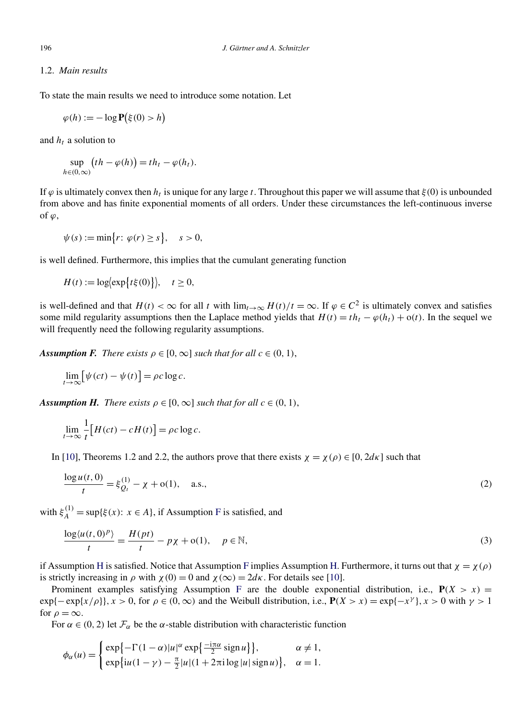# <span id="page-2-0"></span>1.2. *Main results*

To state the main results we need to introduce some notation. Let

$$
\varphi(h) := -\log \mathbf{P}(\xi(0) > h)
$$

and  $h_t$  a solution to

sup *h*∈*(*0*,*∞*)*  $(th - \varphi(h)) = th_t - \varphi(h_t).$ 

If  $\varphi$  is ultimately convex then  $h_t$  is unique for any large *t*. Throughout this paper we will assume that *ξ*(0) is unbounded from above and has finite exponential moments of all orders. Under these circumstances the left-continuous inverse of  $\varphi$ ,

$$
\psi(s) := \min\{r \colon \varphi(r) \ge s\}, \quad s > 0,
$$

is well defined. Furthermore, this implies that the cumulant generating function

$$
H(t) := \log\left(\exp\left\{t\xi(0)\right\}\right), \quad t \ge 0,
$$

is well-defined and that  $H(t) < \infty$  for all *t* with  $\lim_{t\to\infty} H(t)/t = \infty$ . If  $\varphi \in C^2$  is ultimately convex and satisfies some mild regularity assumptions then the Laplace method yields that  $H(t) = t h_t - \varphi(h_t) + o(t)$ . In the sequel we will frequently need the following regularity assumptions.

*Assumption F. There exists*  $\rho \in [0, \infty]$  *such that for all*  $c \in (0, 1)$ ,

$$
\lim_{t \to \infty} [\psi(ct) - \psi(t)] = \rho c \log c.
$$

*Assumption H. There exists*  $\rho \in [0, \infty]$  *such that for all*  $c \in (0, 1)$ ,

$$
\lim_{t \to \infty} \frac{1}{t} \Big[ H(ct) - cH(t) \Big] = \rho c \log c.
$$

In [\[10\]](#page-11-0), Theorems 1.2 and 2.2, the authors prove that there exists  $\chi = \chi(\rho) \in [0, 2d\kappa]$  such that

$$
\frac{\log u(t,0)}{t} = \xi_{Q_t}^{(1)} - \chi + o(1), \quad \text{a.s.,}
$$
\n(2)

with  $\xi_A^{(1)} = \sup{\{\xi(x): x \in A\}}$ , if Assumption F is satisfied, and

$$
\frac{\log \langle u(t,0)^p \rangle}{t} = \frac{H(pt)}{t} - p\chi + o(1), \quad p \in \mathbb{N},
$$
\n(3)

if Assumption H is satisfied. Notice that Assumption F implies Assumption H. Furthermore, it turns out that  $\chi = \chi(\rho)$ is strictly increasing in  $\rho$  with  $\chi(0) = 0$  and  $\chi(\infty) = 2d\kappa$ . For details see [\[10\]](#page-11-0).

Prominent examples satisfying Assumption F are the double exponential distribution, i.e.,  $P(X > x)$  $\exp\{-\exp\{x/\rho\}\}\$ ,  $x>0$ , for  $\rho \in (0,\infty)$  and the Weibull distribution, i.e.,  $P(X > x) = \exp\{-x^\gamma\}$ ,  $x>0$  with  $\gamma > 1$ for  $\rho = \infty$ .

For  $\alpha \in (0, 2)$  let  $\mathcal{F}_{\alpha}$  be the  $\alpha$ -stable distribution with characteristic function

$$
\phi_{\alpha}(u) = \begin{cases} \exp\{-\Gamma(1-\alpha)|u|^{\alpha}\exp\{\frac{-i\pi\alpha}{2}\operatorname{sign} u\}\}, & \alpha \neq 1, \\ \exp\{i u(1-\gamma) - \frac{\pi}{2}|u|(1+2\pi i \log|u|\operatorname{sign} u)\}, & \alpha = 1. \end{cases}
$$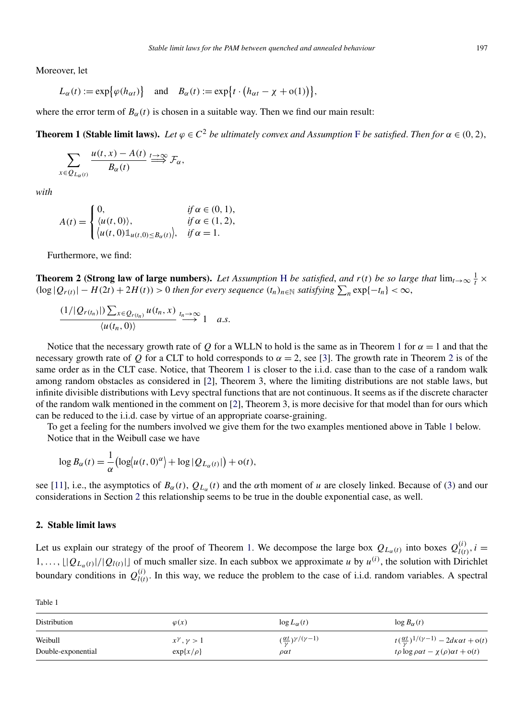<span id="page-3-0"></span>Moreover, let

$$
L_{\alpha}(t) := \exp\bigl\{\varphi(h_{\alpha t})\bigr\} \quad \text{and} \quad B_{\alpha}(t) := \exp\bigl\{t \cdot \bigl(h_{\alpha t} - \chi + o(1)\bigr)\bigr\},
$$

where the error term of  $B_\alpha(t)$  is chosen in a suitable way. Then we find our main result:

**Theorem 1 (Stable limit laws).** *Let*  $\varphi \in C^2$  *be ultimately convex and Assumption* [F](#page-2-0) *be satisfied. Then for*  $\alpha \in (0, 2)$ ,

$$
\sum_{x \in Q_{L_{\alpha}(t)}} \frac{u(t,x) - A(t)}{B_{\alpha}(t)} \stackrel{t \to \infty}{\Longrightarrow} \mathcal{F}_{\alpha},
$$

*with*

$$
A(t) = \begin{cases} 0, & \text{if } \alpha \in (0, 1), \\ \langle u(t, 0) \rangle, & \text{if } \alpha \in (1, 2), \\ \langle u(t, 0) \mathbb{1}_{u(t, 0) \le B_{\alpha}(t)} \rangle, & \text{if } \alpha = 1. \end{cases}
$$

Furthermore, we find:

**Theorem 2 (Strong law of large numbers).** *Let Assumption* [H](#page-2-0) *be satisfied, and*  $r(t)$  *be so large that*  $\lim_{t\to\infty}\frac{1}{t}\times$  $(\log |Q_{r(t)}| - H(2t) + 2H(t)) > 0$  *then for every sequence*  $(t_n)_{n \in \mathbb{N}}$  *satisfying*  $\sum_n \exp\{-t_n\} < \infty$ ,

$$
\frac{(1/|\mathcal{Q}_{r(t_n)}|)\sum_{x\in \mathcal{Q}_{r(t_n)}}u(t_n,x)}{\langle u(t_n,0)\rangle}\stackrel{t_n\to\infty}{\longrightarrow}1\quad a.s.
$$

Notice that the necessary growth rate of *Q* for a WLLN to hold is the same as in Theorem 1 for  $\alpha = 1$  and that the necessary growth rate of *Q* for a CLT to hold corresponds to  $\alpha = 2$ , see [\[3\]](#page-11-0). The growth rate in Theorem 2 is of the same order as in the CLT case. Notice, that Theorem 1 is closer to the i.i.d. case than to the case of a random walk among random obstacles as considered in [\[2\]](#page-11-0), Theorem 3, where the limiting distributions are not stable laws, but infinite divisible distributions with Levy spectral functions that are not continuous. It seems as if the discrete character of the random walk mentioned in the comment on [\[2\]](#page-11-0), Theorem 3, is more decisive for that model than for ours which can be reduced to the i.i.d. case by virtue of an appropriate coarse-graining.

To get a feeling for the numbers involved we give them for the two examples mentioned above in Table 1 below. Notice that in the Weibull case we have

$$
\log B_{\alpha}(t) = \frac{1}{\alpha} \left( \log(u(t,0)^{\alpha}) + \log |Q_{L_{\alpha}(t)}| \right) + o(t),
$$

see [\[11\]](#page-11-0), i.e., the asymptotics of  $B_\alpha(t)$ ,  $Q_{L_\alpha}(t)$  and the  $\alpha$ th moment of *u* are closely linked. Because of [\(3\)](#page-2-0) and our considerations in Section 2 this relationship seems to be true in the double exponential case, as well.

# **2. Stable limit laws**

Let us explain our strategy of the proof of Theorem 1. We decompose the large box  $Q_{L_{\alpha}(t)}$  into boxes  $Q_{l(t)}^{(i)}$ ,  $i =$  $1, \ldots, \lfloor |Q_{L_{\alpha}(t)}|/|Q_{l(t)}| \rfloor$  of much smaller size. In each subbox we approximate *u* by  $u^{(i)}$ , the solution with Dirichlet boundary conditions in  $Q_{l(t)}^{(i)}$ . In this way, we reduce the problem to the case of i.i.d. random variables. A spectral

| Table 1                       |                                                 |                                                                               |                                                                                                                                  |
|-------------------------------|-------------------------------------------------|-------------------------------------------------------------------------------|----------------------------------------------------------------------------------------------------------------------------------|
| Distribution                  | $\varphi(x)$                                    | $\log L_{\alpha}(t)$                                                          | $\log B_{\alpha}(t)$                                                                                                             |
| Weibull<br>Double-exponential | $x^{\gamma}$ , $\gamma > 1$<br>$\exp\{x/\rho\}$ | $\left(\frac{\alpha t}{\gamma}\right)^{\gamma/(\gamma-1)}$<br>$\rho \alpha t$ | $t(\frac{\alpha t}{\gamma})^{1/(\gamma-1)} - 2d\kappa\alpha t + o(t)$<br>$t\rho \log \rho \alpha t - \chi(\rho) \alpha t + o(t)$ |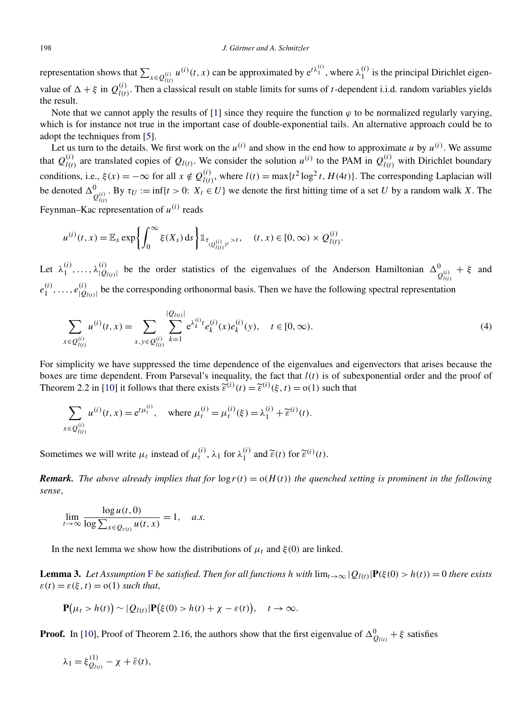#### <span id="page-4-0"></span>198 *J. Gärtner and A. Schnitzler*

representation shows that  $\sum_{x \in Q_{l(t)}^{(i)}} u^{(i)}(t, x)$  can be approximated by  $e^{t\lambda_1^{(i)}}$ , where  $\lambda_1^{(i)}$  is the principal Dirichlet eigenvalue of  $\Delta + \xi$  in  $Q_{l(t)}^{(i)}$ . Then a classical result on stable limits for sums of *t*-dependent i.i.d. random variables yields the result.

Note that we cannot apply the results of [\[1\]](#page-11-0) since they require the function  $\varphi$  to be normalized regularly varying, which is for instance not true in the important case of double-exponential tails. An alternative approach could be to adopt the techniques from [\[5\]](#page-11-0).

Let us turn to the details. We first work on the  $u^{(i)}$  and show in the end how to approximate  $u$  by  $u^{(i)}$ . We assume that  $Q_{l(t)}^{(i)}$  are translated copies of  $Q_{l(t)}$ . We consider the solution  $u^{(i)}$  to the PAM in  $Q_{l(t)}^{(i)}$  with Dirichlet boundary conditions, i.e.,  $\xi(x) = -\infty$  for all  $x \notin Q_{l(t)}^{(i)}$ , where  $l(t) = \max\{t^2 \log^2 t, H(4t)\}\)$ . The corresponding Laplacian will be denoted  $\Delta^0_{Q_{(t)}^{(i)}}$ . By  $\tau_U := \inf\{t > 0: X_t \in U\}$  we denote the first hitting time of a set *U* by a random walk *X*. The Feynman–Kac representation of  $u^{(i)}$  reads

$$
u^{(i)}(t,x) = \mathbb{E}_x \exp \left\{ \int_0^\infty \xi(X_s) \, ds \right\} \mathbb{1}_{\tau_{(Q_{l(t)}^{(i)})^c} > t}, \quad (t,x) \in [0,\infty) \times Q_{l(t)}^{(i)}.
$$

Let  $\lambda_1^{(i)}, \ldots, \lambda_{|Q_{l(t)}|}^{(i)}$  be the order statistics of the eigenvalues of the Anderson Hamiltonian  $\Delta_{Q_{l(t)}^{(i)}}^0 + \xi$  and  $e_1^{(i)}, \ldots, e_{|Q_{l(t)}|}^{(i)}$  be the corresponding orthonormal basis. Then we have the following spectral representation

$$
\sum_{x \in Q_{l(t)}^{(i)}} u^{(i)}(t,x) = \sum_{x,y \in Q_{l(t)}^{(i)}} \sum_{k=1}^{|Q_{l(t)}|} e^{\lambda_k^{(i)} t} e_k^{(i)}(x) e_k^{(i)}(y), \quad t \in [0,\infty).
$$
\n(4)

For simplicity we have suppressed the time dependence of the eigenvalues and eigenvectors that arises because the boxes are time dependent. From Parseval's inequality, the fact that *l(t)* is of subexponential order and the proof of Theorem 2.2 in [\[10\]](#page-11-0) it follows that there exists  $\tilde{\epsilon}^{(i)}(t) = \tilde{\epsilon}^{(i)}(\xi, t) = o(1)$  such that

$$
\sum_{x \in Q_{l(t)}^{(i)}} u^{(i)}(t, x) = e^{t\mu_t^{(i)}}, \quad \text{where } \mu_t^{(i)} = \mu_t^{(i)}(\xi) = \lambda_1^{(i)} + \widetilde{\varepsilon}^{(i)}(t).
$$

Sometimes we will write  $\mu_t$  instead of  $\mu_t^{(i)}$ ,  $\lambda_1$  for  $\lambda_1^{(i)}$  and  $\tilde{\varepsilon}(t)$  for  $\tilde{\varepsilon}^{(i)}(t)$ .

*Remark.* The above already implies that for  $\log r(t) = o(H(t))$  the quenched setting is prominent in the following *sense*,

$$
\lim_{t \to \infty} \frac{\log u(t,0)}{\log \sum_{x \in Q_{r(t)}} u(t,x)} = 1, \quad a.s.
$$

In the next lemma we show how the distributions of  $\mu_t$  and  $\xi(0)$  are linked.

**Lemma 3.** Let Assumption [F](#page-2-0) be satisfied. Then for all functions h with  $\lim_{t\to\infty} |Q_{l(t)}|P(\xi(0) > h(t)) = 0$  there exists  $\varepsilon(t) = \varepsilon(\xi, t) = o(1)$  *such that*,

$$
\mathbf{P}(\mu_t > h(t)) \sim |Q_{l(t)}|\mathbf{P}(\xi(0) > h(t) + \chi - \varepsilon(t)), \quad t \to \infty.
$$

**Proof.** In [\[10\]](#page-11-0), Proof of Theorem 2.16, the authors show that the first eigenvalue of  $\Delta_{Q_{l(t)}}^0 + \xi$  satisfies

$$
\lambda_1 = \xi_{Q_{l(t)}}^{(1)} - \chi + \bar{\varepsilon}(t),
$$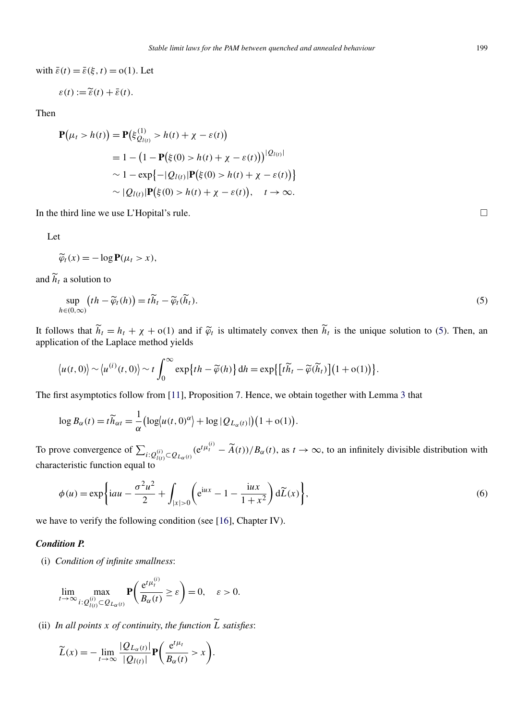<span id="page-5-0"></span>with  $\bar{\varepsilon}(t) = \bar{\varepsilon}(\xi, t) = o(1)$ . Let

$$
\varepsilon(t) := \widetilde{\varepsilon}(t) + \bar{\varepsilon}(t).
$$

Then

$$
\mathbf{P}(\mu_t > h(t)) = \mathbf{P}(\xi_{Q_{l(t)}}^{(1)} > h(t) + \chi - \varepsilon(t))
$$
  
= 1 - (1 -  $\mathbf{P}(\xi(0) > h(t) + \chi - \varepsilon(t)))^{|Q_{l(t)}|}$   

$$
\sim 1 - \exp\{-|Q_{l(t)}|\mathbf{P}(\xi(0) > h(t) + \chi - \varepsilon(t))\}\
$$
  

$$
\sim |Q_{l(t)}|\mathbf{P}(\xi(0) > h(t) + \chi - \varepsilon(t)), \quad t \to \infty.
$$

In the third line we use L'Hopital's rule.  $\Box$ 

Let

$$
\widetilde{\varphi}_t(x) = -\log \mathbf{P}(\mu_t > x),
$$

and  $\widetilde{h}_t$  a solution to

$$
\sup_{h \in (0,\infty)} \left( th - \widetilde{\varphi}_t(h) \right) = t \widetilde{h}_t - \widetilde{\varphi}_t(\widetilde{h}_t). \tag{5}
$$

It follows that  $\widetilde{h}_t = h_t + \chi + o(1)$  and if  $\widetilde{\varphi}_t$  is ultimately convex then  $\widetilde{h}_t$  is the unique solution to (5). Then, an application of the Laplace method yields

$$
\langle u(t,0)\rangle \sim \langle u^{(i)}(t,0)\rangle \sim t \int_0^\infty \exp\{th-\widetilde{\varphi}(h)\}\,dh = \exp\{[\tilde{t}\widetilde{h}_t - \widetilde{\varphi}(\widetilde{h}_t)](1+o(1))\}.
$$

The first asymptotics follow from [\[11\]](#page-11-0), Proposition 7. Hence, we obtain together with Lemma [3](#page-4-0) that

$$
\log B_{\alpha}(t) = t \widetilde{h}_{\alpha t} = \frac{1}{\alpha} \big( \log \big| u(t, 0)^{\alpha} \big| + \log \big| Q_{L_{\alpha}(t)} \big| \big) \big( 1 + o(1) \big).
$$

To prove convergence of  $\sum_{i: Q_{l(t)}^{(i)} \subset Q_{L_{\alpha}(t)}} (e^{t\mu_t^{(i)}} - \widetilde{A}(t))/B_{\alpha}(t)$ , as  $t \to \infty$ , to an infinitely divisible distribution with characteristic function equal to

$$
\phi(u) = \exp\left\{iau - \frac{\sigma^2 u^2}{2} + \int_{|x|>0} \left(e^{iux} - 1 - \frac{iux}{1+x^2}\right) d\widetilde{L}(x)\right\},\tag{6}
$$

we have to verify the following condition (see [\[16\]](#page-12-0), Chapter IV).

#### *Condition P.*

(i) *Condition of infinite smallness*:

$$
\lim_{t\to\infty}\max_{i:\mathcal{Q}_{l(t)}^{(i)}\subset\mathcal{Q}_{L_{\alpha}(t)}}\mathbf{P}\bigg(\frac{e^{t\mu_t^{(i)}}}{B_{\alpha}(t)}\geq\varepsilon\bigg)=0,\quad\varepsilon>0.
$$

(ii) *In all points x of continuity*, *the function L satisfies*:

$$
\widetilde{L}(x) = -\lim_{t \to \infty} \frac{|Q_{L_{\alpha}(t)}|}{|Q_{l(t)}|} \mathbf{P}\bigg(\frac{e^{t\mu_t}}{B_{\alpha}(t)} > x\bigg).
$$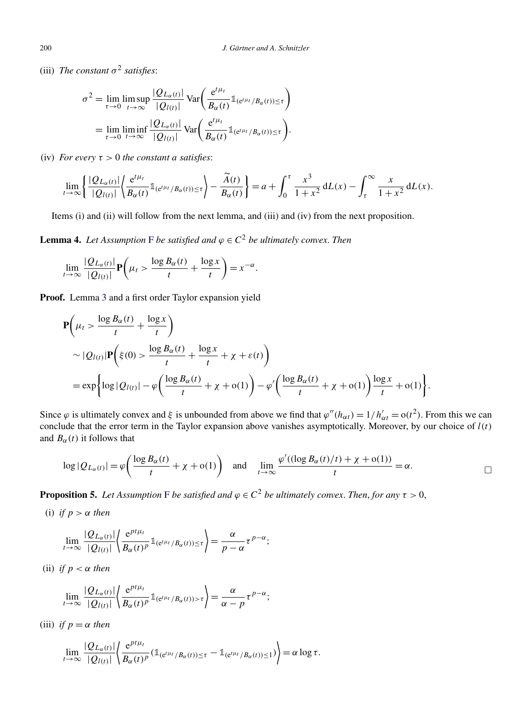<span id="page-6-0"></span>(iii) *The constant*  $\sigma^2$  *satisfies*:

$$
\sigma^2 = \lim_{\tau \to 0} \limsup_{t \to \infty} \frac{|Q_{L_{\alpha}(t)}|}{|Q_{l(t)}|} \text{Var}\left(\frac{e^{t\mu_t}}{B_{\alpha}(t)} \mathbb{1}_{(e^{t\mu_t}/B_{\alpha}(t)) \leq \tau}\right)
$$

$$
= \lim_{\tau \to 0} \liminf_{t \to \infty} \frac{|Q_{L_{\alpha}(t)}|}{|Q_{l(t)}|} \text{Var}\left(\frac{e^{t\mu_t}}{B_{\alpha}(t)} \mathbb{1}_{(e^{t\mu_t}/B_{\alpha}(t)) \leq \tau}\right).
$$

(iv) *For every*  $\tau > 0$  *the constant a satisfies:* 

$$
\lim_{t\to\infty}\left\{\frac{|Q_{L_{\alpha}(t)}|}{|Q_{l(t)}|}\left\langle\frac{e^{t\mu_t}}{B_{\alpha}(t)}\mathbb{1}_{(e^{t\mu_t}/B_{\alpha}(t))\leq\tau}\right\rangle-\frac{\widetilde{A}(t)}{B_{\alpha}(t)}\right\}=a+\int_0^{\tau}\frac{x^3}{1+x^2}\,dL(x)-\int_{\tau}^{\infty}\frac{x}{1+x^2}\,dL(x).
$$

Items (i) and (ii) will follow from the next lemma, and (iii) and (iv) from the next proposition.

**Lemma 4.** *Let Assumption* [F](#page-2-0) *be satisfied and*  $\varphi \in C^2$  *be ultimately convex. Then* 

$$
\lim_{t\to\infty}\frac{|Q_{L_{\alpha}(t)}|}{|Q_{l(t)}|}\mathbf{P}\left(\mu_t>\frac{\log B_{\alpha}(t)}{t}+\frac{\log x}{t}\right)=x^{-\alpha}.
$$

**Proof.** Lemma [3](#page-4-0) and a first order Taylor expansion yield

$$
\mathbf{P}\left(\mu_{t} > \frac{\log B_{\alpha}(t)}{t} + \frac{\log x}{t}\right)
$$
  
 
$$
\sim |Q_{l(t)}|\mathbf{P}\left(\xi(0) > \frac{\log B_{\alpha}(t)}{t} + \frac{\log x}{t} + \chi + \varepsilon(t)\right)
$$
  
= 
$$
\exp\left\{\log|Q_{l(t)}| - \varphi\left(\frac{\log B_{\alpha}(t)}{t} + \chi + o(1)\right) - \varphi'\left(\frac{\log B_{\alpha}(t)}{t} + \chi + o(1)\right)\frac{\log x}{t} + o(1)\right\}.
$$

Since  $\varphi$  is ultimately convex and  $\xi$  is unbounded from above we find that  $\varphi''(h_{\alpha t}) = 1/h'_{\alpha t} = o(t^2)$ . From this we can conclude that the error term in the Taylor expansion above vanishes asymptotically. Moreover, by our choice of *l(t)* and  $B_\alpha(t)$  it follows that

$$
\log |Q_{L_{\alpha}(t)}| = \varphi \left( \frac{\log B_{\alpha}(t)}{t} + \chi + o(1) \right) \quad \text{and} \quad \lim_{t \to \infty} \frac{\varphi'((\log B_{\alpha}(t)/t) + \chi + o(1))}{t} = \alpha.
$$

**Proposition 5.** *Let Assumption* [F](#page-2-0) *be satisfied and*  $\varphi \in C^2$  *be ultimately convex. Then, for any*  $\tau > 0$ ,

(i) *if*  $p > \alpha$  *then* 

$$
\lim_{t\to\infty}\frac{|Q_{L_{\alpha}(t)}|}{|Q_{l(t)}|}\bigg\langle\frac{e^{pt\mu_t}}{B_{\alpha}(t)^p}\mathbb{1}_{(e^{t\mu_t}/B_{\alpha}(t))\leq\tau}\bigg\rangle=\frac{\alpha}{p-\alpha}\tau^{p-\alpha};
$$

(ii) *if*  $p < \alpha$  *then* 

$$
\lim_{t\to\infty}\frac{|Q_{L_{\alpha}(t)}|}{|Q_{l(t)}|}\bigg\langle\frac{e^{pt\mu_t}}{B_{\alpha}(t)^p}\mathbb{1}_{(e^{t\mu_t}/B_{\alpha}(t))>\tau}\bigg\rangle=\frac{\alpha}{\alpha-p}\tau^{p-\alpha};
$$

(iii) *if*  $p = \alpha$  *then* 

$$
\lim_{t\to\infty}\frac{|Q_{L_{\alpha}(t)}|}{|Q_{l(t)}|}\left\langle\frac{e^{pt\mu_t}}{B_{\alpha}(t)^p}(\mathbb{1}_{(e^{t\mu_t}/B_{\alpha}(t))\leq \tau}-\mathbb{1}_{(e^{t\mu_t}/B_{\alpha}(t))\leq 1})\right\rangle=\alpha\log\tau.
$$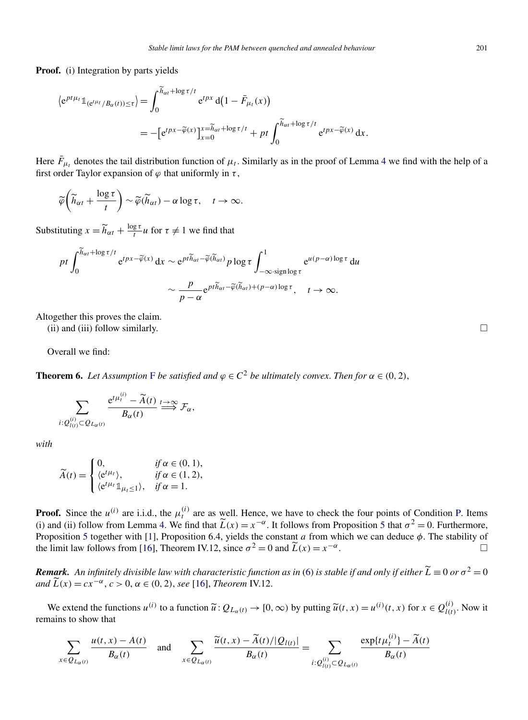<span id="page-7-0"></span>**Proof.** (i) Integration by parts yields

$$
\langle e^{pt\mu_t} \mathbb{1}_{(e^{t\mu_t}/B_\alpha(t))\leq \tau} \rangle = \int_0^{\widetilde{h}_{\alpha t} + \log \tau/t} e^{tpx} d(1 - \bar{F}_{\mu_t}(x))
$$
  
= 
$$
- [e^{tpx - \widetilde{\varphi}(x)}]_{x=0}^{x=\widetilde{h}_{\alpha t} + \log \tau/t} + pt \int_0^{\widetilde{h}_{\alpha t} + \log \tau/t} e^{tpx - \widetilde{\varphi}(x)} dx.
$$

Here  $\bar{F}_{\mu_t}$  denotes the tail distribution function of  $\mu_t$ . Similarly as in the proof of Lemma [4](#page-6-0) we find with the help of a first order Taylor expansion of  $\varphi$  that uniformly in  $\tau$ ,

$$
\widetilde{\varphi}\bigg(\widetilde{h}_{\alpha t} + \frac{\log \tau}{t}\bigg) \sim \widetilde{\varphi}(\widetilde{h}_{\alpha t}) - \alpha \log \tau, \quad t \to \infty.
$$

Substituting  $x = \widetilde{h}_{\alpha t} + \frac{\log \tau}{t} u$  for  $\tau \neq 1$  we find that

$$
pt \int_0^{\widetilde{h}_{\alpha t} + \log \tau/t} e^{tpx - \widetilde{\varphi}(x)} dx \sim e^{pt\widetilde{h}_{\alpha t} - \widetilde{\varphi}(\widetilde{h}_{\alpha t})} p \log \tau \int_{-\infty \cdot \text{sign}\log \tau}^1 e^{u(p-\alpha) \log \tau} du
$$

$$
\sim \frac{p}{p - \alpha} e^{pt\widetilde{h}_{\alpha t} - \widetilde{\varphi}(\widetilde{h}_{\alpha t}) + (p-\alpha) \log \tau}, \quad t \to \infty.
$$

Altogether this proves the claim.

(ii) and (iii) follow similarly.  $\Box$ 

Overall we find:

**Theorem 6.** *Let Assumption* [F](#page-2-0) *be satisfied and*  $\varphi \in C^2$  *be ultimately convex. Then for*  $\alpha \in (0, 2)$ ,

$$
\sum_{i: Q_{l(t)}^{(i)} \subset Q_{L_{\alpha}(t)}} \frac{e^{t\mu_t^{(i)}} - \widetilde{A}(t)}{B_{\alpha}(t)} \stackrel{t \to \infty}{\Longrightarrow} \mathcal{F}_{\alpha},
$$

*with*

$$
\widetilde{A}(t) = \begin{cases}\n0, & \text{if } \alpha \in (0, 1), \\
\langle e^{t\mu_t} \rangle, & \text{if } \alpha \in (1, 2), \\
\langle e^{t\mu_t} \mathbb{1}_{\mu_t \le 1} \rangle, & \text{if } \alpha = 1.\n\end{cases}
$$

**Proof.** Since the  $u^{(i)}$  are i.i.d., the  $\mu_t^{(i)}$  are as well. Hence, we have to check the four points of Condition [P.](#page-5-0) Items (i) and (ii) follow from Lemma [4.](#page-6-0) We find that  $\tilde{L}(x) = x^{-\alpha}$ . It follows from Proposition [5](#page-6-0) that  $\sigma^2 = 0$ . Furthermore, Proposition [5](#page-6-0) together with [\[1\]](#page-11-0), Proposition 6.4, yields the constant *a* from which we can deduce *φ*. The stability of the limit law follows from [\[16\]](#page-12-0), Theorem IV.12, since  $\sigma^2 = 0$  and  $\widetilde{L}(x) = x^{-\alpha}$ .

*Remark.* An infinitely divisible law with characteristic function as in [\(6\)](#page-5-0) is stable if and only if either  $\widetilde{L} \equiv 0$  or  $\sigma^2 = 0$ *and*  $\widetilde{L}(x) = cx^{-\alpha}, c > 0, \alpha \in (0, 2), \text{ see } [16]$  $\widetilde{L}(x) = cx^{-\alpha}, c > 0, \alpha \in (0, 2), \text{ see } [16]$ , *Theorem* IV.12.

We extend the functions  $u^{(i)}$  to a function  $\tilde{u}: Q_{L_\alpha(t)} \to [0, \infty)$  by putting  $\tilde{u}(t, x) = u^{(i)}(t, x)$  for  $x \in Q_{l(t)}^{(i)}$ . Now it remains to show that

$$
\sum_{x \in Q_{L_{\alpha}(t)}} \frac{u(t,x) - A(t)}{B_{\alpha}(t)} \quad \text{and} \quad \sum_{x \in Q_{L_{\alpha}(t)}} \frac{\widetilde{u}(t,x) - \widetilde{A}(t)/|Q_{l(t)}|}{B_{\alpha}(t)} = \sum_{i: Q_{l(t)}^{(i)} \subset Q_{L_{\alpha}(t)}} \frac{\exp\{t\mu_t^{(i)}\} - \widetilde{A}(t)}{B_{\alpha}(t)}
$$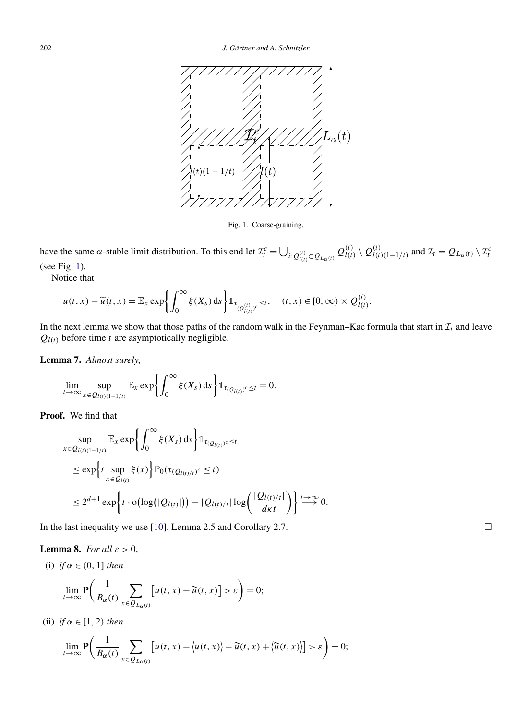<span id="page-8-0"></span>

Fig. 1. Coarse-graining.

have the same  $\alpha$ -stable limit distribution. To this end let  $\mathcal{I}_t^c = \bigcup_{i: Q_{l(t)}^{(i)} \subset Q_{L_{\alpha}(t)}} Q_{l(t)}^{(i)} \setminus Q_{l(t)(1-1/t)}^{(i)}$  and  $\mathcal{I}_t = Q_{L_{\alpha}(t)} \setminus \mathcal{I}_t^c$ (see Fig. 1).

Notice that

$$
u(t,x)-\widetilde{u}(t,x)=\mathbb{E}_x\exp\left\{\int_0^\infty\xi(X_s)\,\mathrm{d} s\right\}\mathbb{1}_{\tau_{(Q_{l(t)}^{(i)})^c}\leq t},\quad (t,x)\in[0,\infty)\times Q_{l(t)}^{(i)}.
$$

In the next lemma we show that those paths of the random walk in the Feynman–Kac formula that start in  $\mathcal{I}_t$  and leave  $Q_{l(t)}$  before time *t* are asymptotically negligible.

**Lemma 7.** *Almost surely*,

$$
\lim_{t\to\infty}\sup_{x\in Q_{l(t)(1-1/t)}}\mathbb{E}_x\exp\biggl\{\int_0^\infty \xi(X_s)\,ds\biggr\}\mathbb{1}_{\tau_{(Q_{l(t)})^c\leq t}}=0.
$$

**Proof.** We find that

$$
\sup_{x \in Q_{l(t)(1-1/t)}} \mathbb{E}_x \exp \left\{ \int_0^\infty \xi(X_s) \, ds \right\} \mathbb{1}_{\tau_{(Q_{l(t)})^c} \leq t}
$$
\n
$$
\leq \exp \left\{ t \sup_{x \in Q_{l(t)}} \xi(x) \right\} \mathbb{P}_0(\tau_{(Q_{l(t)/t})^c} \leq t)
$$
\n
$$
\leq 2^{d+1} \exp \left\{ t \cdot o(\log(|Q_{l(t)}|)) - |Q_{l(t)/t}| \log \left( \frac{|Q_{l(t)/t}|}{d\kappa t} \right) \right\} \stackrel{t \to \infty}{\longrightarrow} 0.
$$

In the last inequality we use [\[10\]](#page-11-0), Lemma 2.5 and Corollary 2.7.

**Lemma 8.** *For all*  $\varepsilon > 0$ ,

(i) if 
$$
\alpha \in (0, 1]
$$
 then

$$
\lim_{t \to \infty} \mathbf{P}\bigg(\frac{1}{B_{\alpha}(t)} \sum_{x \in Q_{L_{\alpha}(t)}} \big[u(t,x) - \widetilde{u}(t,x)\big] > \varepsilon\bigg) = 0;
$$

(ii)  $if \alpha \in [1, 2)$  *then* 

$$
\lim_{t \to \infty} \mathbf{P}\bigg(\frac{1}{B_{\alpha}(t)} \sum_{x \in Q_{L_{\alpha}(t)}} \big[ u(t,x) - \big\langle u(t,x) \big\rangle - \widetilde{u}(t,x) + \big\langle \widetilde{u}(t,x) \big\rangle \big] > \varepsilon \bigg) = 0;
$$

 $\Box$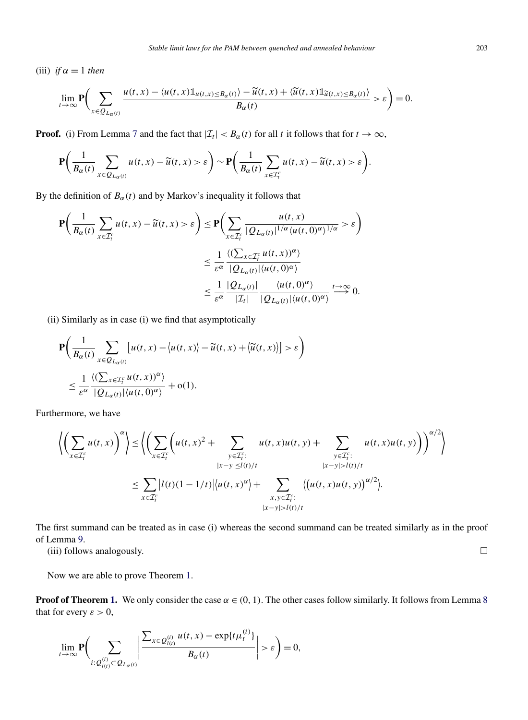(iii) *if*  $\alpha = 1$  *then* 

$$
\lim_{t\to\infty}\mathbf{P}\bigg(\sum_{x\in Q_{L_{\alpha}(t)}}\frac{u(t,x)-\langle u(t,x)\mathbb{1}_{u(t,x)\leq B_{\alpha}(t)}\rangle-\widetilde{u}(t,x)+\langle \widetilde{u}(t,x)\mathbb{1}_{\widetilde{u}(t,x)\leq B_{\alpha}(t)}\rangle}{B_{\alpha}(t)}>\varepsilon\bigg)=0.
$$

**Proof.** (i) From Lemma [7](#page-8-0) and the fact that  $|\mathcal{I}_t| < B_\alpha(t)$  for all *t* it follows that for  $t \to \infty$ ,

$$
\mathbf{P}\bigg(\frac{1}{B_{\alpha}(t)}\sum_{x\in Q_{L_{\alpha}(t)}}u(t,x)-\widetilde{u}(t,x)>\varepsilon\bigg)\sim\mathbf{P}\bigg(\frac{1}{B_{\alpha}(t)}\sum_{x\in\mathcal{I}_{t}^{c}}u(t,x)-\widetilde{u}(t,x)>\varepsilon\bigg).
$$

By the definition of  $B_\alpha(t)$  and by Markov's inequality it follows that

$$
\mathbf{P}\left(\frac{1}{B_{\alpha}(t)}\sum_{x\in\mathcal{I}_{t}^{c}}u(t,x)-\widetilde{u}(t,x)>\varepsilon\right)\leq\mathbf{P}\left(\sum_{x\in\mathcal{I}_{t}^{c}}\frac{u(t,x)}{|\mathcal{Q}_{L_{\alpha}(t)}|^{1/\alpha}\langle u(t,0)^{\alpha}\rangle^{1/\alpha}}>\varepsilon\right)
$$
\n
$$
\leq\frac{1}{\varepsilon^{\alpha}}\frac{\langle(\sum_{x\in\mathcal{I}_{t}^{c}}u(t,x))^{\alpha}\rangle}{|\mathcal{Q}_{L_{\alpha}(t)}|\langle u(t,0)^{\alpha}\rangle}
$$
\n
$$
\leq\frac{1}{\varepsilon^{\alpha}}\frac{|\mathcal{Q}_{L_{\alpha}(t)}|}{|\mathcal{I}_{t}|}\frac{\langle u(t,0)^{\alpha}\rangle}{|\mathcal{Q}_{L_{\alpha}(t)}|\langle u(t,0)^{\alpha}\rangle}\xrightarrow{t\to\infty}0.
$$

(ii) Similarly as in case (i) we find that asymptotically

$$
\mathbf{P}\bigg(\frac{1}{B_{\alpha}(t)}\sum_{x\in Q_{L_{\alpha}(t)}}\big[u(t,x)-\big\langle u(t,x)\big\rangle-\widetilde{u}(t,x)+\big\langle\widetilde{u}(t,x)\big\rangle\big] > \varepsilon\bigg)
$$
  

$$
\leq \frac{1}{\varepsilon^{\alpha}}\frac{\langle(\sum_{x\in \mathcal{I}_{t}^{c}}u(t,x))^{\alpha}\rangle}{|Q_{L_{\alpha}(t)}|\langle u(t,0)^{\alpha}\rangle}+o(1).
$$

Furthermore, we have

$$
\left\langle \left(\sum_{x \in \mathcal{I}_t^c} u(t,x)\right)^{\alpha} \right\rangle \leq \left\langle \left(\sum_{x \in \mathcal{I}_t^c} \left(u(t,x)^2 + \sum_{y \in \mathcal{I}_t^c} u(t,x)u(t,y) + \sum_{\substack{y \in \mathcal{I}_t^c:\\|x-y| \leq l(t)/t}} u(t,x)u(t,y)\right)\right)^{\alpha/2} \right\rangle
$$
  

$$
\leq \sum_{x \in \mathcal{I}_t^c} |l(t)(1-1/t)| \left\langle u(t,x)^{\alpha} \right\rangle + \sum_{\substack{x,y \in \mathcal{I}_t^c:\\|x-y| > l(t)/t}} \left\langle \left(u(t,x)u(t,y)\right)^{\alpha/2} \right\rangle.
$$

The first summand can be treated as in case (i) whereas the second summand can be treated similarly as in the proof of Lemma [9.](#page-10-0)

(iii) follows analogously.  $\Box$ 

Now we are able to prove Theorem [1.](#page-3-0)

**Proof of Theorem [1.](#page-3-0)** We only consider the case  $\alpha \in (0, 1)$ . The other cases follow similarly. It follows from Lemma [8](#page-8-0) that for every  $\varepsilon > 0$ ,

$$
\lim_{t\to\infty}\mathbf{P}\bigg(\sum_{i:\ Q_{l(t)}^{(i)}\subset Q_{L_{\alpha}(t)}}\left|\frac{\sum_{x\in Q_{l(t)}^{(i)}}u(t,x)-\exp\{t\mu_t^{(i)}\}}{B_{\alpha}(t)}\right|>\varepsilon\bigg)=0,
$$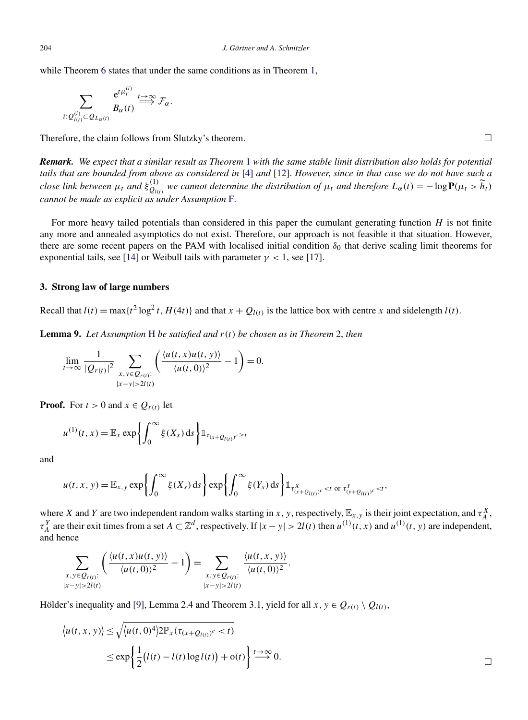<span id="page-10-0"></span>while Theorem [6](#page-7-0) states that under the same conditions as in Theorem [1,](#page-3-0)

$$
\sum_{i: Q_{l(t)}^{(i)} \subset Q_{L_{\alpha}(t)}} \frac{e^{t\mu_t^{(i)}}}{B_{\alpha}(t)} \stackrel{t \to \infty}{\Longrightarrow} \mathcal{F}_{\alpha}.
$$

Therefore, the claim follows from Slutzky's theorem.  $\Box$ 

*Remark. We expect that a similar result as Theorem* [1](#page-3-0) *with the same stable limit distribution also holds for potential tails that are bounded from above as considered in* [\[4\]](#page-11-0) *and* [\[12\]](#page-11-0). *However*, *since in that case we do not have such a close link between*  $\mu_t$  *and*  $\xi_{Q_{l(t)}}^{(1)}$  *we cannot determine the distribution of*  $\mu_t$  *and therefore*  $L_\alpha(t) = -\log P(\mu_t > \widetilde{h}_t)$ *cannot be made as explicit as under Assumption* [F.](#page-2-0)

For more heavy tailed potentials than considered in this paper the cumulant generating function *H* is not finite any more and annealed asymptotics do not exist. Therefore, our approach is not feasible it that situation. However, there are some recent papers on the PAM with localised initial condition  $\delta_0$  that derive scaling limit theorems for exponential tails, see [\[14\]](#page-12-0) or Weibull tails with parameter  $\gamma$  < 1, see [\[17\]](#page-12-0).

# **3. Strong law of large numbers**

Recall that  $l(t) = \max\{t^2 \log^2 t, H(4t)\}$  and that  $x + Q_{l(t)}$  is the lattice box with centre *x* and sidelength  $l(t)$ .

**Lemma 9.** *Let Assumption* [H](#page-2-0) *be satisfied and r(t) be chosen as in Theorem* [2,](#page-3-0) *then*

$$
\lim_{t\to\infty}\frac{1}{|Q_{r(t)}|^2}\sum_{\substack{x,y\in Q_{r(t)}:\\|x-y|>2l(t)}}\left(\frac{\langle u(t,x)u(t,y)\rangle}{\langle u(t,0)\rangle^2}-1\right)=0.
$$

**Proof.** For  $t > 0$  and  $x \in Q_{r(t)}$  let

$$
u^{(1)}(t,x) = \mathbb{E}_x \exp\left\{ \int_0^\infty \xi(X_s) \, \mathrm{d} s \right\} \mathbb{1}_{\tau_{(x+Q_{l(t)})^c} \geq t}
$$

and

$$
u(t, x, y) = \mathbb{E}_{x, y} \exp \left\{ \int_0^{\infty} \xi(X_s) \, ds \right\} \exp \left\{ \int_0^{\infty} \xi(Y_s) \, ds \right\} \mathbb{1}_{\tau_{(x+Q_{l(t)})^c}^X < t \text{ or } \tau_{(y+Q_{l(t)})^c}^Y < t},
$$

where *X* and *Y* are two independent random walks starting in *x*, *y*, respectively,  $\mathbb{E}_{x,y}$  is their joint expectation, and  $\tau_A^X$ ,  $\tau_A^Y$  are their exit times from a set  $A \subset \mathbb{Z}^d$ , respectively. If  $|x - y| > 2l(t)$  then  $u^{(1)}(t, x)$  and  $u^{(1)}(t, y)$  are independent, and hence

$$
\sum_{\substack{x,y \in Q_{r(t)}:\\|x-y|>2l(t)}} \left( \frac{\langle u(t,x)u(t,y) \rangle}{\langle u(t,0) \rangle^2} - 1 \right) = \sum_{\substack{x,y \in Q_{r(t)}:\\|x-y|>2l(t)}} \frac{\langle u(t,x,y) \rangle}{\langle u(t,0) \rangle^2}.
$$

Hölder's inequality and [\[9\]](#page-11-0), Lemma 2.4 and Theorem 3.1, yield for all  $x, y \in Q_{r(t)} \setminus Q_{l(t)}$ ,

$$
\langle u(t, x, y) \rangle \leq \sqrt{\langle u(t, 0)^4 \rangle 2 \mathbb{P}_x(\tau_{(x+Q_{l(t)})^c} < t)} \leq \exp \left\{ \frac{1}{2} (l(t) - l(t) \log l(t)) + o(t) \right\} \stackrel{t \to \infty}{\longrightarrow} 0.
$$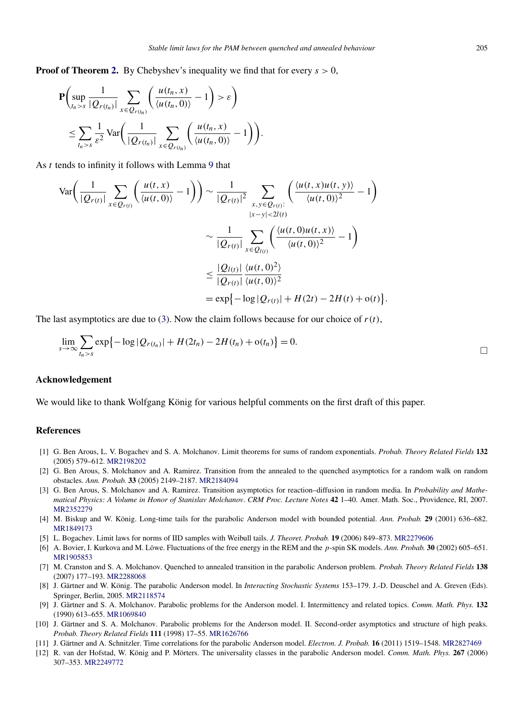<span id="page-11-0"></span>**Proof of Theorem [2.](#page-3-0)** By Chebyshev's inequality we find that for every *s >* 0,

$$
\mathbf{P}\left(\sup_{t_n>s}\frac{1}{|Q_{r(t_n)}|}\sum_{x\in Q_{r(t_n)}}\left(\frac{u(t_n,x)}{\langle u(t_n,0)\rangle}-1\right)>\varepsilon\right)
$$
  
\$\leq \sum\_{t\_n>s}\frac{1}{\varepsilon^2}\mathop{\mathrm{Var}}\left(\frac{1}{|Q\_{r(t\_n)}|}\sum\_{x\in Q\_{r(t\_n)}}\left(\frac{u(t\_n,x)}{\langle u(t\_n,0)\rangle}-1\right)\right).

As *t* tends to infinity it follows with Lemma [9](#page-10-0) that

$$
\operatorname{Var}\left(\frac{1}{|\mathcal{Q}_{r(t)}|} \sum_{x \in \mathcal{Q}_{r(t)}} \left(\frac{u(t,x)}{\langle u(t,0) \rangle} - 1\right)\right) \sim \frac{1}{|\mathcal{Q}_{r(t)}|^2} \sum_{\substack{x,y \in \mathcal{Q}_{r(t)}:\\|x - y| < 2l(t)}} \left(\frac{\langle u(t,x)u(t,y) \rangle}{\langle u(t,0) \rangle^2} - 1\right)
$$
\n
$$
\sim \frac{1}{|\mathcal{Q}_{r(t)}|} \sum_{x \in \mathcal{Q}_{l(t)}} \left(\frac{\langle u(t,0)u(t,x) \rangle}{\langle u(t,0) \rangle^2} - 1\right)
$$
\n
$$
\leq \frac{|\mathcal{Q}_{l(t)}|}{|\mathcal{Q}_{r(t)}|} \frac{\langle u(t,0)^2 \rangle}{\langle u(t,0) \rangle^2}
$$
\n
$$
= \exp\{-\log|\mathcal{Q}_{r(t)}| + H(2t) - 2H(t) + o(t)\}.
$$

The last asymptotics are due to [\(3\)](#page-2-0). Now the claim follows because for our choice of  $r(t)$ ,

$$
\lim_{s \to \infty} \sum_{t_n > s} \exp\{-\log|Q_{r(t_n)}| + H(2t_n) - 2H(t_n) + o(t_n)\} = 0.
$$

### **Acknowledgement**

We would like to thank Wolfgang König for various helpful comments on the first draft of this paper.

#### **References**

- [1] G. Ben Arous, L. V. Bogachev and S. A. Molchanov. Limit theorems for sums of random exponentials. *Probab. Theory Related Fields* **132** (2005) 579–612. [MR2198202](http://www.ams.org/mathscinet-getitem?mr=2198202)
- [2] G. Ben Arous, S. Molchanov and A. Ramirez. Transition from the annealed to the quenched asymptotics for a random walk on random obstacles. *Ann. Probab.* **33** (2005) 2149–2187. [MR2184094](http://www.ams.org/mathscinet-getitem?mr=2184094)
- [3] G. Ben Arous, S. Molchanov and A. Ramirez. Transition asymptotics for reaction–diffusion in random media. In *Probability and Mathematical Physics: A Volume in Honor of Stanislav Molchanov*. *CRM Proc. Lecture Notes* **42** 1–40. Amer. Math. Soc., Providence, RI, 2007. [MR2352279](http://www.ams.org/mathscinet-getitem?mr=2352279)
- [4] M. Biskup and W. König. Long-time tails for the parabolic Anderson model with bounded potential. *Ann. Probab.* **29** (2001) 636–682. [MR1849173](http://www.ams.org/mathscinet-getitem?mr=1849173)
- [5] L. Bogachev. Limit laws for norms of IID samples with Weibull tails. *J. Theoret. Probab.* **19** (2006) 849–873. [MR2279606](http://www.ams.org/mathscinet-getitem?mr=2279606)
- [6] A. Bovier, I. Kurkova and M. Löwe. Fluctuations of the free energy in the REM and the *p*-spin SK models. *Ann. Probab.* **30** (2002) 605–651. [MR1905853](http://www.ams.org/mathscinet-getitem?mr=1905853)
- [7] M. Cranston and S. A. Molchanov. Quenched to annealed transition in the parabolic Anderson problem. *Probab. Theory Related Fields* **138** (2007) 177–193. [MR2288068](http://www.ams.org/mathscinet-getitem?mr=2288068)
- [8] J. Gärtner and W. König. The parabolic Anderson model. In *Interacting Stochastic Systems* 153–179. J.-D. Deuschel and A. Greven (Eds). Springer, Berlin, 2005. [MR2118574](http://www.ams.org/mathscinet-getitem?mr=2118574)
- [9] J. Gärtner and S. A. Molchanov. Parabolic problems for the Anderson model. I. Intermittency and related topics. *Comm. Math. Phys.* **132** (1990) 613–655. [MR1069840](http://www.ams.org/mathscinet-getitem?mr=1069840)
- [10] J. Gärtner and S. A. Molchanov. Parabolic problems for the Anderson model. II. Second-order asymptotics and structure of high peaks. *Probab. Theory Related Fields* **111** (1998) 17–55. [MR1626766](http://www.ams.org/mathscinet-getitem?mr=1626766)
- [11] J. Gärtner and A. Schnitzler. Time correlations for the parabolic Anderson model. *Electron. J. Probab.* **16** (2011) 1519–1548. [MR2827469](http://www.ams.org/mathscinet-getitem?mr=2827469)
- [12] R. van der Hofstad, W. König and P. Mörters. The universality classes in the parabolic Anderson model. *Comm. Math. Phys.* **267** (2006) 307–353. [MR2249772](http://www.ams.org/mathscinet-getitem?mr=2249772)